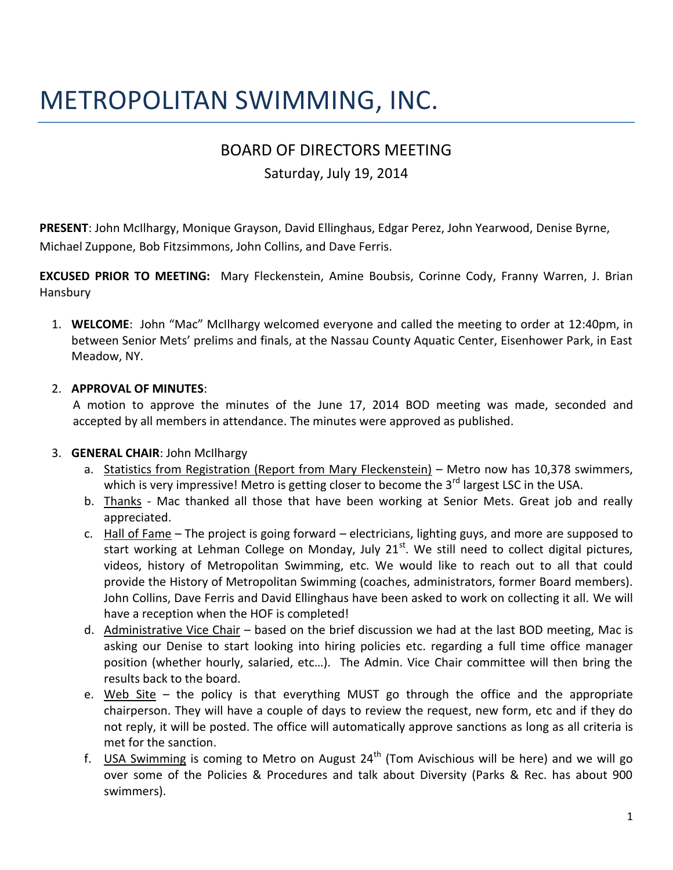# METROPOLITAN SWIMMING, INC.

# BOARD OF DIRECTORS MEETING

# Saturday, July 19, 2014

**PRESENT**: John McIlhargy, Monique Grayson, David Ellinghaus, Edgar Perez, John Yearwood, Denise Byrne, Michael Zuppone, Bob Fitzsimmons, John Collins, and Dave Ferris.

**EXCUSED PRIOR TO MEETING:** Mary Fleckenstein, Amine Boubsis, Corinne Cody, Franny Warren, J. Brian Hansbury

1. **WELCOME**: John "Mac" McIlhargy welcomed everyone and called the meeting to order at 12:40pm, in between Senior Mets' prelims and finals, at the Nassau County Aquatic Center, Eisenhower Park, in East Meadow, NY.

#### 2. **APPROVAL OF MINUTES**:

 A motion to approve the minutes of the June 17, 2014 BOD meeting was made, seconded and accepted by all members in attendance. The minutes were approved as published.

# 3. **GENERAL CHAIR**: John McIlhargy

- a. Statistics from Registration (Report from Mary Fleckenstein) Metro now has 10,378 swimmers, which is very impressive! Metro is getting closer to become the  $3<sup>rd</sup>$  largest LSC in the USA.
- b. Thanks Mac thanked all those that have been working at Senior Mets. Great job and really appreciated.
- c. Hall of Fame The project is going forward electricians, lighting guys, and more are supposed to start working at Lehman College on Monday, July 21<sup>st</sup>. We still need to collect digital pictures, videos, history of Metropolitan Swimming, etc. We would like to reach out to all that could provide the History of Metropolitan Swimming (coaches, administrators, former Board members). John Collins, Dave Ferris and David Ellinghaus have been asked to work on collecting it all. We will have a reception when the HOF is completed!
- d. Administrative Vice Chair based on the brief discussion we had at the last BOD meeting, Mac is asking our Denise to start looking into hiring policies etc. regarding a full time office manager position (whether hourly, salaried, etc…). The Admin. Vice Chair committee will then bring the results back to the board.
- e. Web Site  $-$  the policy is that everything MUST go through the office and the appropriate chairperson. They will have a couple of days to review the request, new form, etc and if they do not reply, it will be posted. The office will automatically approve sanctions as long as all criteria is met for the sanction.
- f. USA Swimming is coming to Metro on August  $24<sup>th</sup>$  (Tom Avischious will be here) and we will go over some of the Policies & Procedures and talk about Diversity (Parks & Rec. has about 900 swimmers).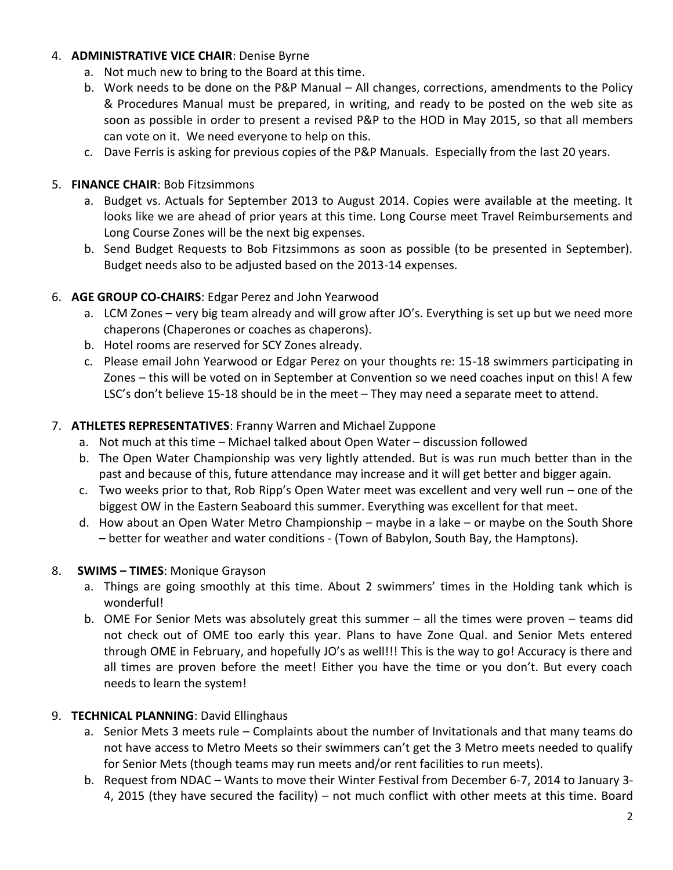#### 4. **ADMINISTRATIVE VICE CHAIR**: Denise Byrne

- a. Not much new to bring to the Board at this time.
- b. Work needs to be done on the P&P Manual All changes, corrections, amendments to the Policy & Procedures Manual must be prepared, in writing, and ready to be posted on the web site as soon as possible in order to present a revised P&P to the HOD in May 2015, so that all members can vote on it. We need everyone to help on this.
- c. Dave Ferris is asking for previous copies of the P&P Manuals. Especially from the last 20 years.

### 5. **FINANCE CHAIR**: Bob Fitzsimmons

- a. Budget vs. Actuals for September 2013 to August 2014. Copies were available at the meeting. It looks like we are ahead of prior years at this time. Long Course meet Travel Reimbursements and Long Course Zones will be the next big expenses.
- b. Send Budget Requests to Bob Fitzsimmons as soon as possible (to be presented in September). Budget needs also to be adjusted based on the 2013-14 expenses.

# 6. **AGE GROUP CO-CHAIRS**: Edgar Perez and John Yearwood

- a. LCM Zones very big team already and will grow after JO's. Everything is set up but we need more chaperons (Chaperones or coaches as chaperons).
- b. Hotel rooms are reserved for SCY Zones already.
- c. Please email John Yearwood or Edgar Perez on your thoughts re: 15-18 swimmers participating in Zones – this will be voted on in September at Convention so we need coaches input on this! A few LSC's don't believe 15-18 should be in the meet – They may need a separate meet to attend.

#### 7. **ATHLETES REPRESENTATIVES**: Franny Warren and Michael Zuppone

- a. Not much at this time Michael talked about Open Water discussion followed
- b. The Open Water Championship was very lightly attended. But is was run much better than in the past and because of this, future attendance may increase and it will get better and bigger again.
- c. Two weeks prior to that, Rob Ripp's Open Water meet was excellent and very well run one of the biggest OW in the Eastern Seaboard this summer. Everything was excellent for that meet.
- d. How about an Open Water Metro Championship maybe in a lake or maybe on the South Shore – better for weather and water conditions - (Town of Babylon, South Bay, the Hamptons).

#### 8. **SWIMS – TIMES**: Monique Grayson

- a. Things are going smoothly at this time. About 2 swimmers' times in the Holding tank which is wonderful!
- b. OME For Senior Mets was absolutely great this summer all the times were proven teams did not check out of OME too early this year. Plans to have Zone Qual. and Senior Mets entered through OME in February, and hopefully JO's as well!!! This is the way to go! Accuracy is there and all times are proven before the meet! Either you have the time or you don't. But every coach needs to learn the system!

# 9. **TECHNICAL PLANNING**: David Ellinghaus

- a. Senior Mets 3 meets rule Complaints about the number of Invitationals and that many teams do not have access to Metro Meets so their swimmers can't get the 3 Metro meets needed to qualify for Senior Mets (though teams may run meets and/or rent facilities to run meets).
- b. Request from NDAC Wants to move their Winter Festival from December 6-7, 2014 to January 3- 4, 2015 (they have secured the facility) – not much conflict with other meets at this time. Board